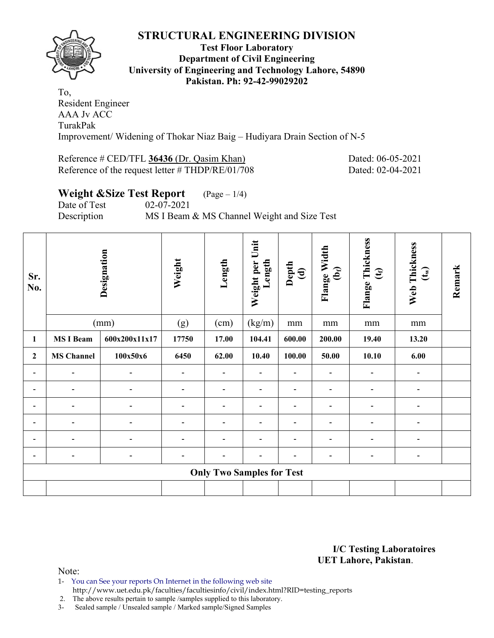

### **Test Floor Laboratory Department of Civil Engineering University of Engineering and Technology Lahore, 54890 Pakistan. Ph: 92-42-99029202**

To, Resident Engineer AAA Jv ACC TurakPak Improvement/ Widening of Thokar Niaz Baig – Hudiyara Drain Section of N-5

### Reference # CED/TFL **36436** (Dr. Qasim Khan) Dated: 06-05-2021 Reference of the request letter # THDP/RE/01/708 Dated: 02-04-2021

# **Weight &Size Test Report** (Page – 1/4) Date of Test 02-07-2021

Description MS I Beam & MS Channel Weight and Size Test

| Sr.<br>No.     |                   | Designation   | Weight         | Length                           | Unit<br>Weight per<br>Length | Depth<br>(d)   | Flange Width<br>$\mathbf{\hat{e}}$ | Flange Thickness<br>$\mathfrak{E}$ | Web Thickness<br>$\mathbf{t}_{\mathbf{w}}$ | Remark |
|----------------|-------------------|---------------|----------------|----------------------------------|------------------------------|----------------|------------------------------------|------------------------------------|--------------------------------------------|--------|
|                |                   | (mm)          | (g)            | (cm)                             | (kg/m)                       | $\rm mm$       | mm                                 | $\rm mm$                           | $\rm mm$                                   |        |
| $\mathbf{1}$   | <b>MS I Beam</b>  | 600x200x11x17 | 17750          | 17.00                            | 104.41                       | 600.00         | 200.00                             | 19.40                              | 13.20                                      |        |
| $\overline{2}$ | <b>MS Channel</b> | 100x50x6      | 6450           | 62.00                            | 10.40                        | 100.00         | 50.00                              | 10.10                              | 6.00                                       |        |
| ۰              | -                 |               |                | $\blacksquare$                   | $\blacksquare$               | $\blacksquare$ | -                                  | ٠                                  | ۰                                          |        |
|                |                   |               |                | $\blacksquare$                   |                              |                | $\blacksquare$                     | -                                  |                                            |        |
| $\blacksquare$ |                   |               | $\blacksquare$ | $\blacksquare$                   | $\blacksquare$               | ۰              | $\overline{\phantom{0}}$           | ۰                                  |                                            |        |
|                |                   |               |                | $\blacksquare$                   | $\blacksquare$               | -              | ۰                                  | ۰                                  |                                            |        |
|                |                   |               |                | $\blacksquare$                   |                              |                |                                    |                                    |                                            |        |
|                | $\blacksquare$    |               | $\overline{a}$ | ۰                                | $\blacksquare$               | $\blacksquare$ | -                                  | ۰                                  | ۰                                          |        |
|                |                   |               |                | <b>Only Two Samples for Test</b> |                              |                |                                    |                                    |                                            |        |
|                |                   |               |                |                                  |                              |                |                                    |                                    |                                            |        |

**I/C Testing Laboratoires UET Lahore, Pakistan**.

Note:

1- You can See your reports On Internet in the following web site http://www.uet.edu.pk/faculties/facultiesinfo/civil/index.html?RID=testing\_reports

2. The above results pertain to sample /samples supplied to this laboratory.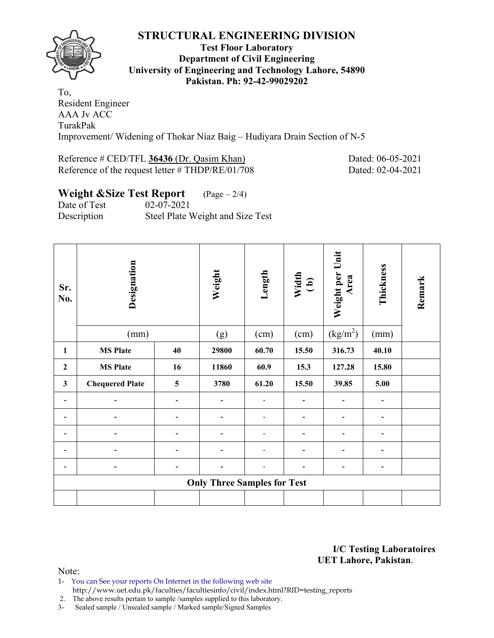

### **Test Floor Laboratory Department of Civil Engineering University of Engineering and Technology Lahore, 54890 Pakistan. Ph: 92-42-99029202**

To, Resident Engineer AAA Jv ACC TurakPak Improvement/ Widening of Thokar Niaz Baig – Hudiyara Drain Section of N-5

### Reference # CED/TFL 36436 (Dr. Qasim Khan) Dated: 06-05-2021 Reference of the request letter # THDP/RE/01/708 Dated: 02-04-2021

# **Weight &Size Test Report** (Page – 2/4)

Date of Test 02-07-2021 Description Steel Plate Weight and Size Test

| Sr.<br>No.   | Designation            |     | Weight                             | Length                   | Width<br>(b)         | Weight per Unit<br>Area | Thickness      | Remark |
|--------------|------------------------|-----|------------------------------------|--------------------------|----------------------|-------------------------|----------------|--------|
|              | (mm)                   | (g) | (cm)                               | (cm)                     | (kg/m <sup>2</sup> ) | (mm)                    |                |        |
| 1            | <b>MS Plate</b>        | 40  | 29800                              | 60.70                    | 15.50                | 316.73                  | 40.10          |        |
| $\mathbf{2}$ | <b>MS Plate</b>        | 16  | 11860                              | 60.9                     | 15.3                 | 127.28                  | 15.80          |        |
| $\mathbf{3}$ | <b>Chequered Plate</b> | 5   | 3780                               | 61.20                    | 15.50                | 39.85                   | 5.00           |        |
|              |                        |     | $\blacksquare$                     | $\overline{\phantom{a}}$ | -                    |                         | $\blacksquare$ |        |
|              |                        |     |                                    | -                        |                      |                         | -              |        |
|              |                        |     |                                    | $\overline{a}$           |                      |                         |                |        |
|              |                        |     |                                    | $\overline{\phantom{0}}$ | ۰                    |                         | $\blacksquare$ |        |
|              |                        |     |                                    | -                        | -                    | -                       | ٠              |        |
|              |                        |     | <b>Only Three Samples for Test</b> |                          |                      |                         |                |        |
|              |                        |     |                                    |                          |                      |                         |                |        |

**I/C Testing Laboratoires UET Lahore, Pakistan**.

Note:

1- You can See your reports On Internet in the following web site http://www.uet.edu.pk/faculties/facultiesinfo/civil/index.html?RID=testing\_reports

2. The above results pertain to sample /samples supplied to this laboratory.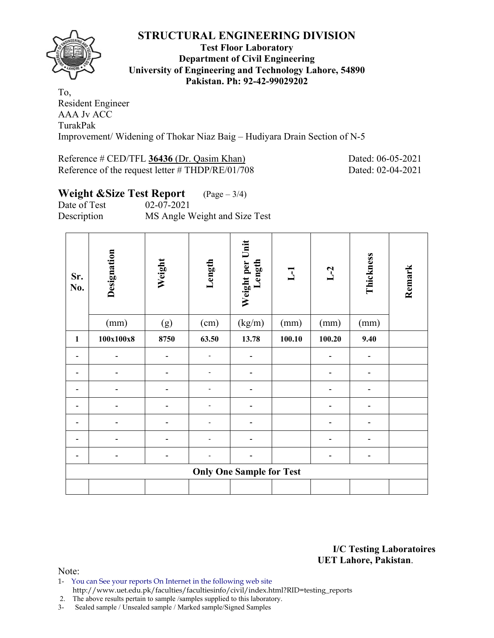

### **Test Floor Laboratory Department of Civil Engineering University of Engineering and Technology Lahore, 54890 Pakistan. Ph: 92-42-99029202**

To, Resident Engineer AAA Jv ACC TurakPak Improvement/ Widening of Thokar Niaz Baig – Hudiyara Drain Section of N-5

### Reference # CED/TFL 36436 (Dr. Qasim Khan) Dated: 06-05-2021 Reference of the request letter # THDP/RE/01/708 Dated: 02-04-2021

# **Weight &Size Test Report** (Page – 3/4)

Date of Test 02-07-2021 Description MS Angle Weight and Size Test

| Sr.<br>No.   | Designation | Weight | Length | Weight per Unit<br>Length       | $\overline{L}$ | $L-2$          | Thickness | Remark |
|--------------|-------------|--------|--------|---------------------------------|----------------|----------------|-----------|--------|
|              | (mm)        | (g)    | (cm)   | (kg/m)                          | (mm)           | (mm)           | (mm)      |        |
| $\mathbf{1}$ | 100x100x8   | 8750   | 63.50  | 13.78                           | 100.10         | 100.20         | 9.40      |        |
|              | -           |        |        |                                 |                | $\overline{a}$ | -         |        |
|              |             |        |        |                                 |                | -              |           |        |
|              |             |        |        |                                 |                |                |           |        |
|              |             |        |        |                                 |                |                |           |        |
|              |             |        |        |                                 |                | -              |           |        |
|              |             |        |        |                                 |                |                |           |        |
|              |             |        |        |                                 |                |                |           |        |
|              |             |        |        | <b>Only One Sample for Test</b> |                |                |           |        |
|              |             |        |        |                                 |                |                |           |        |

**I/C Testing Laboratoires UET Lahore, Pakistan**.

- 1- You can See your reports On Internet in the following web site http://www.uet.edu.pk/faculties/facultiesinfo/civil/index.html?RID=testing\_reports
- 2. The above results pertain to sample /samples supplied to this laboratory.
- 3- Sealed sample / Unsealed sample / Marked sample/Signed Samples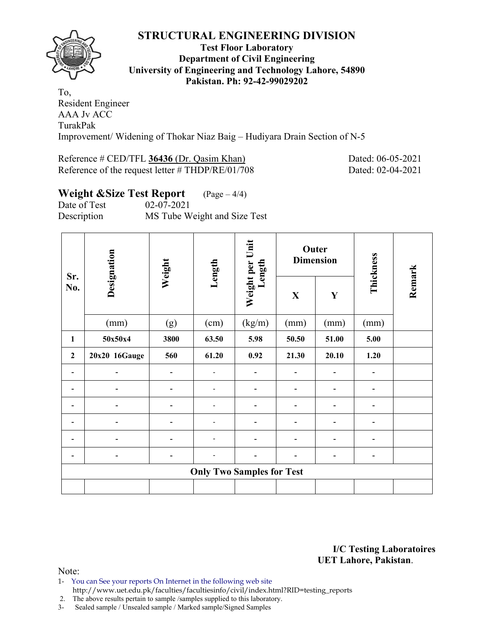

### **Test Floor Laboratory Department of Civil Engineering University of Engineering and Technology Lahore, 54890 Pakistan. Ph: 92-42-99029202**

To, Resident Engineer AAA Jv ACC TurakPak Improvement/ Widening of Thokar Niaz Baig – Hudiyara Drain Section of N-5

### Reference # CED/TFL 36436 (Dr. Qasim Khan) Dated: 06-05-2021 Reference of the request letter # THDP/RE/01/708 Dated: 02-04-2021

# **Weight &Size Test Report** (Page – 4/4) Date of Test 02-07-2021

Description MS Tube Weight and Size Test

| Sr.            | Designation   | Weight | Length                   | Weight per Unit<br>Length        |              | Outer<br><b>Dimension</b> | Thickness |        |
|----------------|---------------|--------|--------------------------|----------------------------------|--------------|---------------------------|-----------|--------|
| No.            |               |        |                          |                                  | $\mathbf{X}$ | Y                         |           | Remark |
|                | (mm)          | (g)    | (cm)                     | (kg/m)                           | (mm)         | (mm)                      | (mm)      |        |
| $\mathbf{1}$   | 50x50x4       | 3800   | 63.50                    | 5.98                             | 50.50        | 51.00                     | 5.00      |        |
| $\overline{2}$ | 20x20 16Gauge | 560    | 61.20                    | 0.92                             | 21.30        | 20.10                     | 1.20      |        |
|                |               |        | $\overline{\phantom{a}}$ |                                  |              |                           |           |        |
|                |               |        |                          |                                  |              |                           |           |        |
|                |               |        |                          |                                  |              |                           |           |        |
|                |               |        |                          |                                  |              |                           |           |        |
|                |               |        |                          |                                  |              |                           |           |        |
|                |               |        |                          |                                  |              |                           | ۰         |        |
|                |               |        |                          | <b>Only Two Samples for Test</b> |              |                           |           |        |
|                |               |        |                          |                                  |              |                           |           |        |

**I/C Testing Laboratoires UET Lahore, Pakistan**.

- 1- You can See your reports On Internet in the following web site http://www.uet.edu.pk/faculties/facultiesinfo/civil/index.html?RID=testing\_reports
- 2. The above results pertain to sample /samples supplied to this laboratory.
- 3- Sealed sample / Unsealed sample / Marked sample/Signed Samples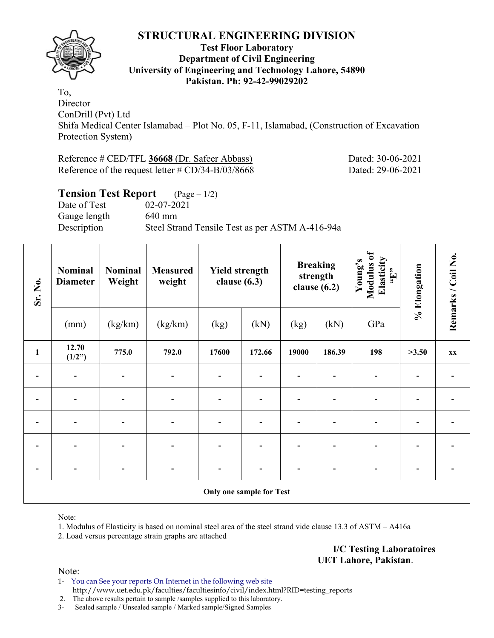

### **Test Floor Laboratory Department of Civil Engineering University of Engineering and Technology Lahore, 54890 Pakistan. Ph: 92-42-99029202**

To, **Director** ConDrill (Pvt) Ltd Shifa Medical Center Islamabad – Plot No. 05, F-11, Islamabad, (Construction of Excavation Protection System)

Reference # CED/TFL **36668** (Dr. Safeer Abbass) Dated: 30-06-2021 Reference of the request letter # CD/34-B/03/8668 Dated: 29-06-2021

# **Tension Test Report** (Page – 1/2) Date of Test 02-07-2021 Gauge length 640 mm Description Steel Strand Tensile Test as per ASTM A-416-94a

| Sr. No.      | <b>Nominal</b><br><b>Diameter</b> | <b>Nominal</b><br>Weight | <b>Measured</b><br>weight | <b>Yield strength</b><br>clause $(6.3)$ |                          | strength | <b>Breaking</b><br>clause $(6.2)$ | Modulus of<br>Elasticity<br>Young's<br>$\mathbf{H}$ , | % Elongation | Remarks / Coil No. |
|--------------|-----------------------------------|--------------------------|---------------------------|-----------------------------------------|--------------------------|----------|-----------------------------------|-------------------------------------------------------|--------------|--------------------|
|              | (mm)                              | (kg/km)                  | (kg/km)                   | (kg)                                    | (kN)                     | (kg)     | (kN)                              | GPa                                                   |              |                    |
| $\mathbf{1}$ | 12.70<br>(1/2")                   | 775.0                    | 792.0                     | 17600                                   | 172.66                   | 19000    | 186.39                            | 198                                                   | >3.50        | <b>XX</b>          |
|              |                                   |                          |                           |                                         |                          |          |                                   |                                                       |              |                    |
|              |                                   | $\blacksquare$           |                           |                                         |                          |          |                                   |                                                       |              |                    |
|              |                                   |                          |                           |                                         |                          |          |                                   |                                                       |              |                    |
|              |                                   |                          |                           |                                         |                          |          |                                   |                                                       |              |                    |
|              |                                   |                          |                           |                                         |                          |          |                                   |                                                       |              |                    |
|              |                                   |                          |                           |                                         | Only one sample for Test |          |                                   |                                                       |              |                    |

Note:

1. Modulus of Elasticity is based on nominal steel area of the steel strand vide clause 13.3 of ASTM – A416a

2. Load versus percentage strain graphs are attached

**I/C Testing Laboratoires UET Lahore, Pakistan**.

Note:

1- You can See your reports On Internet in the following web site http://www.uet.edu.pk/faculties/facultiesinfo/civil/index.html?RID=testing\_reports

2. The above results pertain to sample /samples supplied to this laboratory.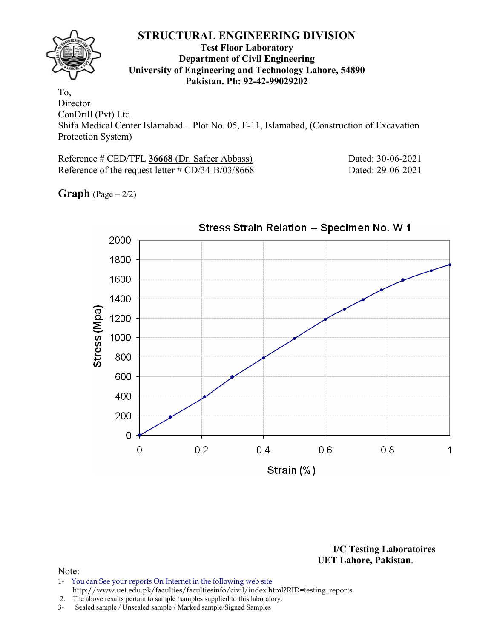

### **Test Floor Laboratory Department of Civil Engineering University of Engineering and Technology Lahore, 54890 Pakistan. Ph: 92-42-99029202**

To, Director ConDrill (Pvt) Ltd Shifa Medical Center Islamabad – Plot No. 05, F-11, Islamabad, (Construction of Excavation Protection System)

Reference # CED/TFL **36668** (Dr. Safeer Abbass) Dated: 30-06-2021 Reference of the request letter # CD/34-B/03/8668 Dated: 29-06-2021

**Graph**  $(Page - 2/2)$ 



**I/C Testing Laboratoires UET Lahore, Pakistan**.

- 1- You can See your reports On Internet in the following web site http://www.uet.edu.pk/faculties/facultiesinfo/civil/index.html?RID=testing\_reports
- 2. The above results pertain to sample /samples supplied to this laboratory.
- 3- Sealed sample / Unsealed sample / Marked sample/Signed Samples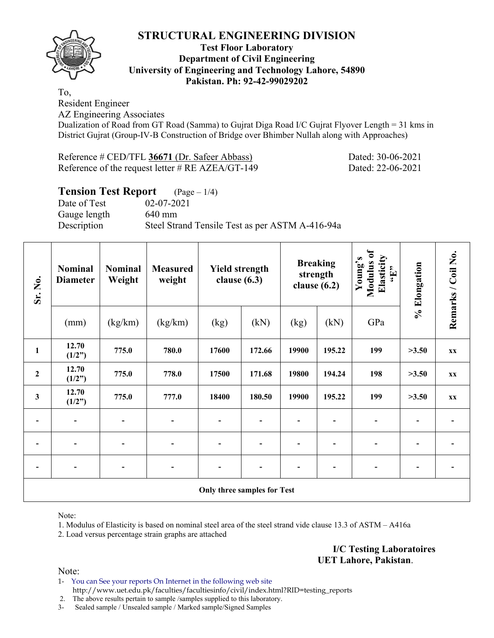

## **Test Floor Laboratory Department of Civil Engineering University of Engineering and Technology Lahore, 54890 Pakistan. Ph: 92-42-99029202**

To,

Resident Engineer

AZ Engineering Associates

Dualization of Road from GT Road (Samma) to Gujrat Diga Road I/C Gujrat Flyover Length = 31 kms in District Gujrat (Group-IV-B Construction of Bridge over Bhimber Nullah along with Approaches)

Reference # CED/TFL **36671** (Dr. Safeer Abbass) Dated: 30-06-2021 Reference of the request letter # RE AZEA/GT-149 Dated: 22-06-2021

# **Tension Test Report** (Page – 1/4) Date of Test 02-07-2021 Gauge length 640 mm Description Steel Strand Tensile Test as per ASTM A-416-94a

| Sr. No.                  | <b>Nominal</b><br><b>Diameter</b> | <b>Nominal</b><br>Weight | <b>Measured</b><br>weight | <b>Yield strength</b><br>clause $(6.3)$ |        |                          | <b>Breaking</b><br>strength<br>clause $(6.2)$ | <b>Modulus</b> of<br>Elasticity<br>Young's<br>$\epsilon$ . Here | % Elongation | Remarks / Coil No. |  |
|--------------------------|-----------------------------------|--------------------------|---------------------------|-----------------------------------------|--------|--------------------------|-----------------------------------------------|-----------------------------------------------------------------|--------------|--------------------|--|
|                          | (mm)                              | (kg/km)                  | (kg/km)                   | (kg)                                    | (kN)   | (kg)                     | (kN)                                          | GPa                                                             |              |                    |  |
| $\mathbf{1}$             | 12.70<br>(1/2")                   | 775.0                    | 780.0                     | 17600                                   | 172.66 | 19900                    | 195.22                                        | 199                                                             | >3.50        | <b>XX</b>          |  |
| $\boldsymbol{2}$         | 12.70<br>(1/2")                   | 775.0                    | 778.0                     | 17500                                   | 171.68 | 19800                    | 194.24                                        | 198                                                             | >3.50        | XX                 |  |
| 3                        | 12.70<br>(1/2")                   | 775.0                    | 777.0                     | 18400                                   | 180.50 | 19900                    | 195.22                                        | 199                                                             | >3.50        | <b>XX</b>          |  |
| $\overline{\phantom{a}}$ | $\overline{\phantom{a}}$          |                          |                           | $\blacksquare$                          |        | $\overline{\phantom{0}}$ |                                               |                                                                 |              |                    |  |
| $\overline{\phantom{a}}$ |                                   |                          |                           | $\qquad \qquad \blacksquare$            |        |                          |                                               |                                                                 |              |                    |  |
| $\overline{\phantom{a}}$ |                                   |                          |                           |                                         |        |                          |                                               |                                                                 |              |                    |  |
|                          |                                   |                          |                           | Only three samples for Test             |        |                          |                                               |                                                                 |              |                    |  |

Note:

1. Modulus of Elasticity is based on nominal steel area of the steel strand vide clause 13.3 of ASTM – A416a

2. Load versus percentage strain graphs are attached

**I/C Testing Laboratoires UET Lahore, Pakistan**.

Note:

1- You can See your reports On Internet in the following web site http://www.uet.edu.pk/faculties/facultiesinfo/civil/index.html?RID=testing\_reports

2. The above results pertain to sample /samples supplied to this laboratory.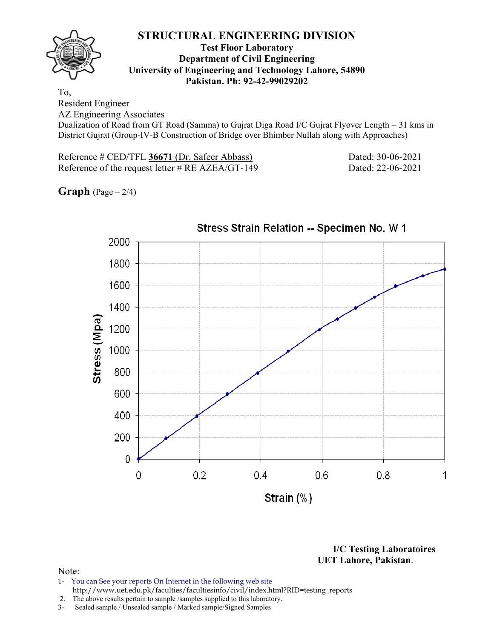

### **Test Floor Laboratory Department of Civil Engineering University of Engineering and Technology Lahore, 54890 Pakistan. Ph: 92-42-99029202**

To,

Resident Engineer

AZ Engineering Associates

Dualization of Road from GT Road (Samma) to Gujrat Diga Road I/C Gujrat Flyover Length = 31 kms in District Gujrat (Group-IV-B Construction of Bridge over Bhimber Nullah along with Approaches)

Reference # CED/TFL **36671** (Dr. Safeer Abbass) Dated: 30-06-2021 Reference of the request letter # RE AZEA/GT-149 Dated: 22-06-2021

**Graph**  $(Page - 2/4)$ 



**I/C Testing Laboratoires UET Lahore, Pakistan**.

- 1- You can See your reports On Internet in the following web site http://www.uet.edu.pk/faculties/facultiesinfo/civil/index.html?RID=testing\_reports
- 2. The above results pertain to sample /samples supplied to this laboratory.
- 3- Sealed sample / Unsealed sample / Marked sample/Signed Samples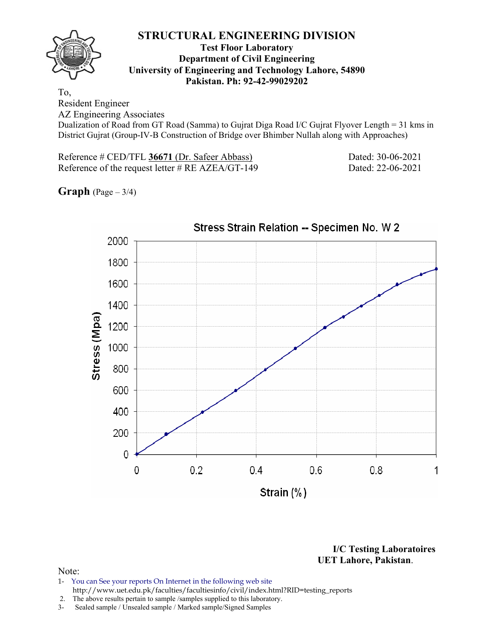

### **Test Floor Laboratory Department of Civil Engineering University of Engineering and Technology Lahore, 54890 Pakistan. Ph: 92-42-99029202**

To,

Resident Engineer

AZ Engineering Associates

Dualization of Road from GT Road (Samma) to Gujrat Diga Road I/C Gujrat Flyover Length = 31 kms in District Gujrat (Group-IV-B Construction of Bridge over Bhimber Nullah along with Approaches)

Reference # CED/TFL **36671** (Dr. Safeer Abbass) Dated: 30-06-2021 Reference of the request letter # RE AZEA/GT-149 Dated: 22-06-2021

**Graph** (Page – 3/4)



**I/C Testing Laboratoires UET Lahore, Pakistan**.

- 1- You can See your reports On Internet in the following web site http://www.uet.edu.pk/faculties/facultiesinfo/civil/index.html?RID=testing\_reports
- 2. The above results pertain to sample /samples supplied to this laboratory.
- 3- Sealed sample / Unsealed sample / Marked sample/Signed Samples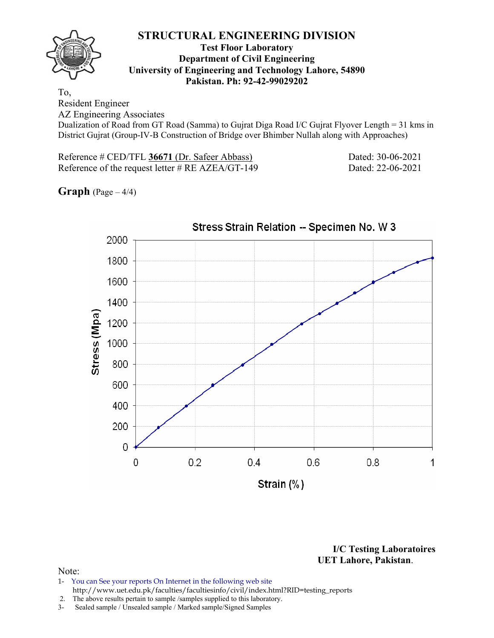

### **Test Floor Laboratory Department of Civil Engineering University of Engineering and Technology Lahore, 54890 Pakistan. Ph: 92-42-99029202**

To,

Resident Engineer

AZ Engineering Associates

Dualization of Road from GT Road (Samma) to Gujrat Diga Road I/C Gujrat Flyover Length = 31 kms in District Gujrat (Group-IV-B Construction of Bridge over Bhimber Nullah along with Approaches)

Reference # CED/TFL **36671** (Dr. Safeer Abbass) Dated: 30-06-2021 Reference of the request letter # RE AZEA/GT-149 Dated: 22-06-2021

**Graph**  $(Page - 4/4)$ 



**I/C Testing Laboratoires UET Lahore, Pakistan**.

- 1- You can See your reports On Internet in the following web site http://www.uet.edu.pk/faculties/facultiesinfo/civil/index.html?RID=testing\_reports
- 2. The above results pertain to sample /samples supplied to this laboratory.
- 3- Sealed sample / Unsealed sample / Marked sample/Signed Samples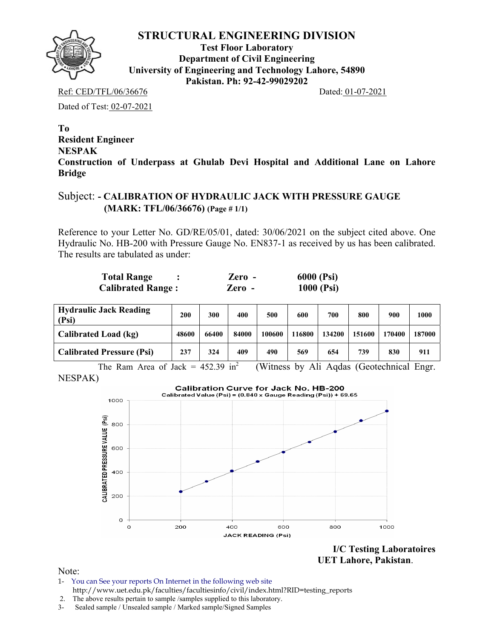

**Test Floor Laboratory Department of Civil Engineering University of Engineering and Technology Lahore, 54890 Pakistan. Ph: 92-42-99029202** 

Ref: CED/TFL/06/36676 Dated: 01-07-2021

Dated of Test: 02-07-2021

**To Resident Engineer NESPAK Construction of Underpass at Ghulab Devi Hospital and Additional Lane on Lahore Bridge** 

## Subject: **- CALIBRATION OF HYDRAULIC JACK WITH PRESSURE GAUGE (MARK: TFL/06/36676) (Page # 1/1)**

Reference to your Letter No. GD/RE/05/01, dated: 30/06/2021 on the subject cited above. One Hydraulic No. HB-200 with Pressure Gauge No. EN837-1 as received by us has been calibrated. The results are tabulated as under:

| <b>Total Range</b>       | Zero - | <b>6000 (Psi)</b> |
|--------------------------|--------|-------------------|
| <b>Calibrated Range:</b> | Zero - | 1000 (Psi)        |

| <b>Hydraulic Jack Reading</b><br>(Psi) | 200   | 300   | 400   | 500    | 600    | 700    | 800    | 900    | 1000   |
|----------------------------------------|-------|-------|-------|--------|--------|--------|--------|--------|--------|
| Calibrated Load (kg)                   | 48600 | 66400 | 84000 | 100600 | 116800 | 134200 | 151600 | 170400 | 187000 |
| <b>Calibrated Pressure (Psi)</b>       | 237   | 324   | 409   | 490    | 569    | 654    | 739    | 830    | 911    |

The Ram Area of Jack =  $452.39 \text{ in}^2$  (Witness by Ali Aqdas (Geotechnical Engr. NESPAK)



**I/C Testing Laboratoires UET Lahore, Pakistan**.

- 1- You can See your reports On Internet in the following web site http://www.uet.edu.pk/faculties/facultiesinfo/civil/index.html?RID=testing\_reports
- 2. The above results pertain to sample /samples supplied to this laboratory.
- 3- Sealed sample / Unsealed sample / Marked sample/Signed Samples